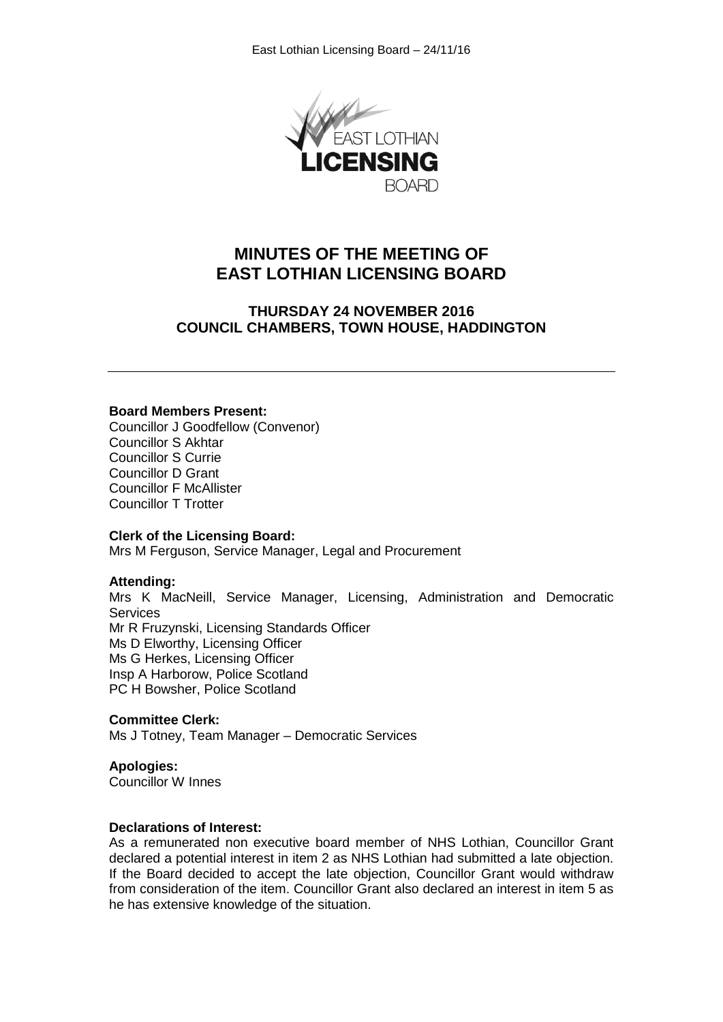

# **MINUTES OF THE MEETING OF EAST LOTHIAN LICENSING BOARD**

**THURSDAY 24 NOVEMBER 2016 COUNCIL CHAMBERS, TOWN HOUSE, HADDINGTON**

#### **Board Members Present:**

Councillor J Goodfellow (Convenor) Councillor S Akhtar Councillor S Currie Councillor D Grant Councillor F McAllister Councillor T Trotter

#### **Clerk of the Licensing Board:**

Mrs M Ferguson, Service Manager, Legal and Procurement

#### **Attending:**

Mrs K MacNeill, Service Manager, Licensing, Administration and Democratic **Services** Mr R Fruzynski, Licensing Standards Officer Ms D Elworthy, Licensing Officer

Ms G Herkes, Licensing Officer Insp A Harborow, Police Scotland PC H Bowsher, Police Scotland

#### **Committee Clerk:**

Ms J Totney, Team Manager – Democratic Services

# **Apologies:**

Councillor W Innes

#### **Declarations of Interest:**

As a remunerated non executive board member of NHS Lothian, Councillor Grant declared a potential interest in item 2 as NHS Lothian had submitted a late objection. If the Board decided to accept the late objection, Councillor Grant would withdraw from consideration of the item. Councillor Grant also declared an interest in item 5 as he has extensive knowledge of the situation.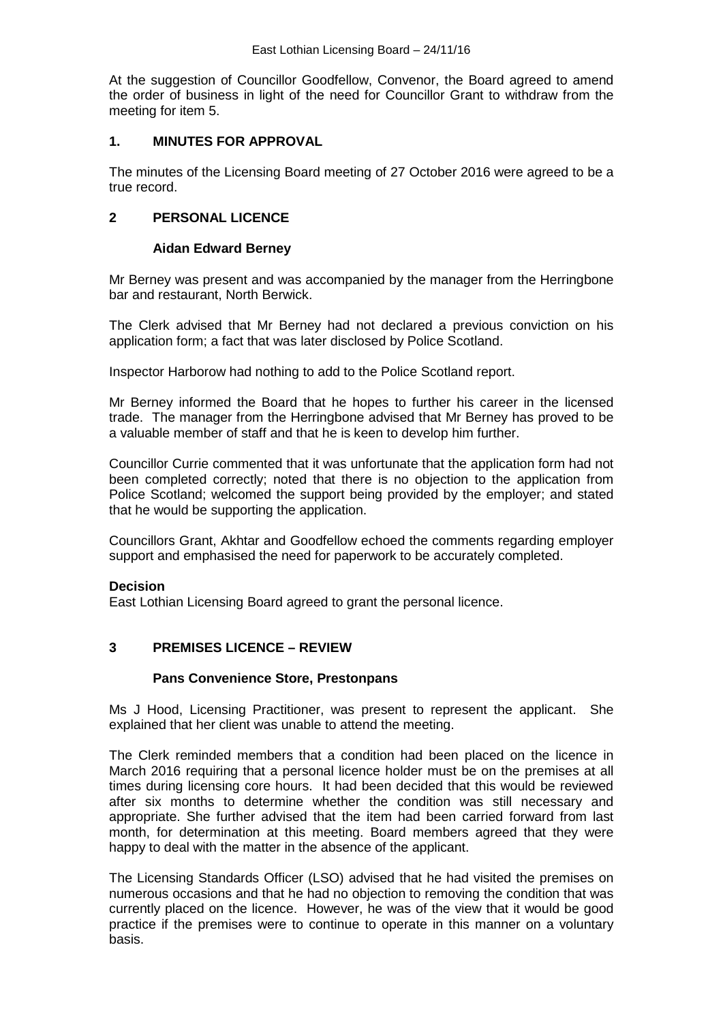At the suggestion of Councillor Goodfellow, Convenor, the Board agreed to amend the order of business in light of the need for Councillor Grant to withdraw from the meeting for item 5.

# **1. MINUTES FOR APPROVAL**

The minutes of the Licensing Board meeting of 27 October 2016 were agreed to be a true record.

# **2 PERSONAL LICENCE**

# **Aidan Edward Berney**

Mr Berney was present and was accompanied by the manager from the Herringbone bar and restaurant, North Berwick.

The Clerk advised that Mr Berney had not declared a previous conviction on his application form; a fact that was later disclosed by Police Scotland.

Inspector Harborow had nothing to add to the Police Scotland report.

Mr Berney informed the Board that he hopes to further his career in the licensed trade. The manager from the Herringbone advised that Mr Berney has proved to be a valuable member of staff and that he is keen to develop him further.

Councillor Currie commented that it was unfortunate that the application form had not been completed correctly; noted that there is no objection to the application from Police Scotland; welcomed the support being provided by the employer; and stated that he would be supporting the application.

Councillors Grant, Akhtar and Goodfellow echoed the comments regarding employer support and emphasised the need for paperwork to be accurately completed.

# **Decision**

East Lothian Licensing Board agreed to grant the personal licence.

# **3 PREMISES LICENCE – REVIEW**

# **Pans Convenience Store, Prestonpans**

Ms J Hood, Licensing Practitioner, was present to represent the applicant. She explained that her client was unable to attend the meeting.

The Clerk reminded members that a condition had been placed on the licence in March 2016 requiring that a personal licence holder must be on the premises at all times during licensing core hours. It had been decided that this would be reviewed after six months to determine whether the condition was still necessary and appropriate. She further advised that the item had been carried forward from last month, for determination at this meeting. Board members agreed that they were happy to deal with the matter in the absence of the applicant.

The Licensing Standards Officer (LSO) advised that he had visited the premises on numerous occasions and that he had no objection to removing the condition that was currently placed on the licence. However, he was of the view that it would be good practice if the premises were to continue to operate in this manner on a voluntary basis.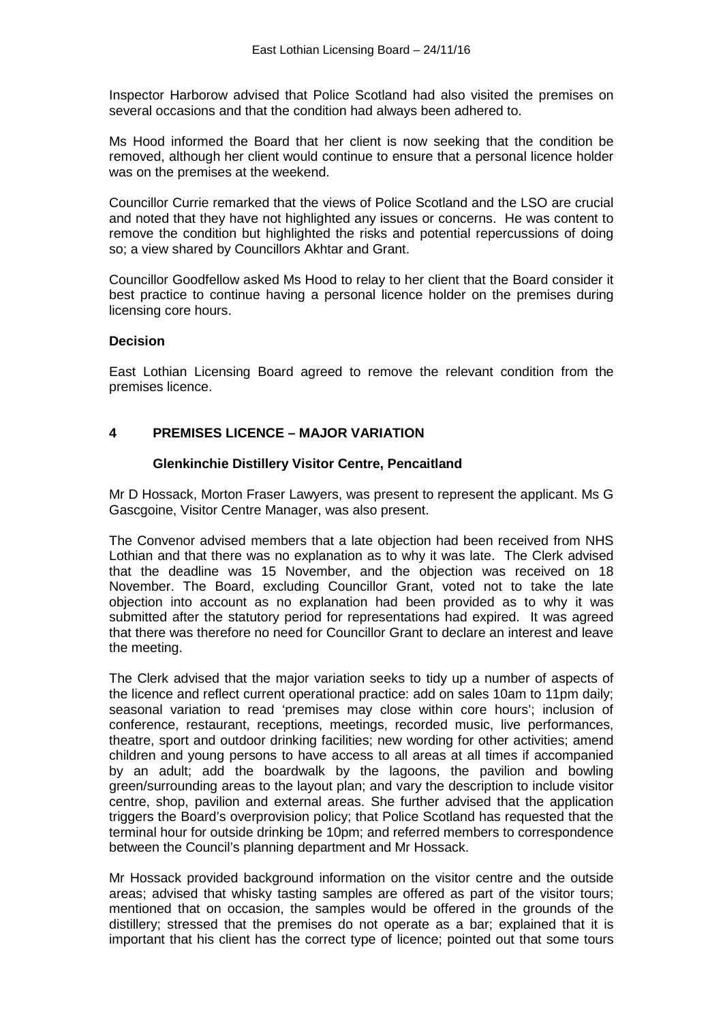Inspector Harborow advised that Police Scotland had also visited the premises on several occasions and that the condition had always been adhered to.

Ms Hood informed the Board that her client is now seeking that the condition be removed, although her client would continue to ensure that a personal licence holder was on the premises at the weekend.

Councillor Currie remarked that the views of Police Scotland and the LSO are crucial and noted that they have not highlighted any issues or concerns. He was content to remove the condition but highlighted the risks and potential repercussions of doing so; a view shared by Councillors Akhtar and Grant.

Councillor Goodfellow asked Ms Hood to relay to her client that the Board consider it best practice to continue having a personal licence holder on the premises during licensing core hours.

# **Decision**

East Lothian Licensing Board agreed to remove the relevant condition from the premises licence.

# **4 PREMISES LICENCE – MAJOR VARIATION**

# **Glenkinchie Distillery Visitor Centre, Pencaitland**

Mr D Hossack, Morton Fraser Lawyers, was present to represent the applicant. Ms G Gascgoine, Visitor Centre Manager, was also present.

The Convenor advised members that a late objection had been received from NHS Lothian and that there was no explanation as to why it was late. The Clerk advised that the deadline was 15 November, and the objection was received on 18 November. The Board, excluding Councillor Grant, voted not to take the late objection into account as no explanation had been provided as to why it was submitted after the statutory period for representations had expired. It was agreed that there was therefore no need for Councillor Grant to declare an interest and leave the meeting.

The Clerk advised that the major variation seeks to tidy up a number of aspects of the licence and reflect current operational practice: add on sales 10am to 11pm daily; seasonal variation to read 'premises may close within core hours'; inclusion of conference, restaurant, receptions, meetings, recorded music, live performances, theatre, sport and outdoor drinking facilities; new wording for other activities; amend children and young persons to have access to all areas at all times if accompanied by an adult; add the boardwalk by the lagoons, the pavilion and bowling green/surrounding areas to the layout plan; and vary the description to include visitor centre, shop, pavilion and external areas. She further advised that the application triggers the Board's overprovision policy; that Police Scotland has requested that the terminal hour for outside drinking be 10pm; and referred members to correspondence between the Council's planning department and Mr Hossack.

Mr Hossack provided background information on the visitor centre and the outside areas; advised that whisky tasting samples are offered as part of the visitor tours; mentioned that on occasion, the samples would be offered in the grounds of the distillery; stressed that the premises do not operate as a bar; explained that it is important that his client has the correct type of licence; pointed out that some tours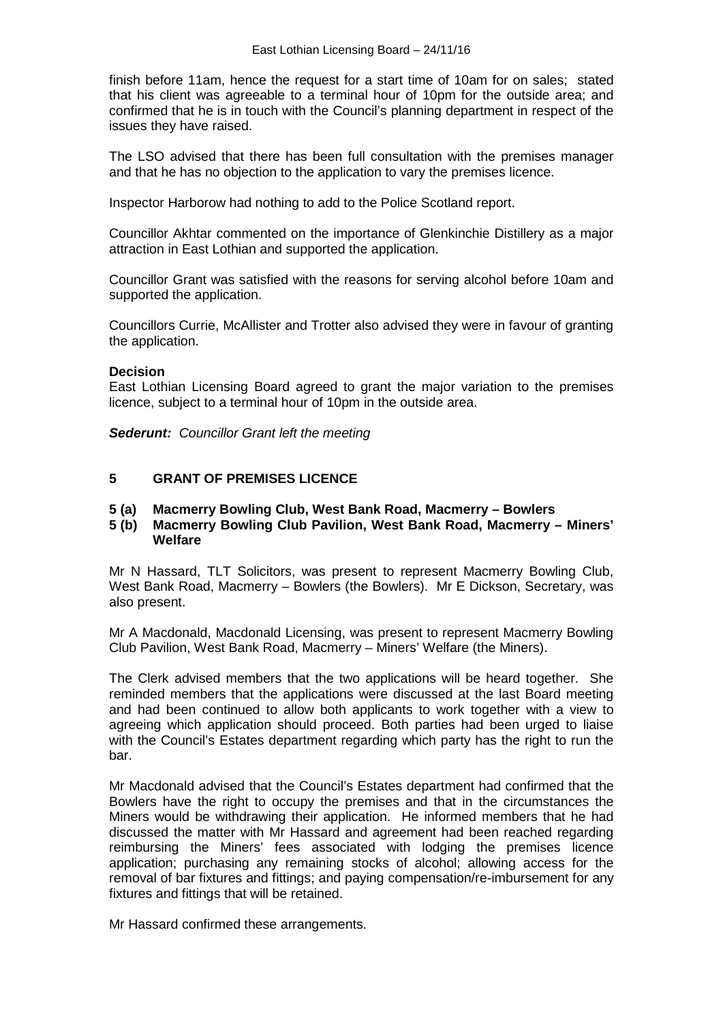finish before 11am, hence the request for a start time of 10am for on sales; stated that his client was agreeable to a terminal hour of 10pm for the outside area; and confirmed that he is in touch with the Council's planning department in respect of the issues they have raised.

The LSO advised that there has been full consultation with the premises manager and that he has no objection to the application to vary the premises licence.

Inspector Harborow had nothing to add to the Police Scotland report.

Councillor Akhtar commented on the importance of Glenkinchie Distillery as a major attraction in East Lothian and supported the application.

Councillor Grant was satisfied with the reasons for serving alcohol before 10am and supported the application.

Councillors Currie, McAllister and Trotter also advised they were in favour of granting the application.

# **Decision**

East Lothian Licensing Board agreed to grant the major variation to the premises licence, subject to a terminal hour of 10pm in the outside area.

*Sederunt: Councillor Grant left the meeting*

# **5 GRANT OF PREMISES LICENCE**

# **5 (a) Macmerry Bowling Club, West Bank Road, Macmerry – Bowlers**

**5 (b) Macmerry Bowling Club Pavilion, West Bank Road, Macmerry – Miners' Welfare**

Mr N Hassard, TLT Solicitors, was present to represent Macmerry Bowling Club, West Bank Road, Macmerry – Bowlers (the Bowlers). Mr E Dickson, Secretary, was also present.

Mr A Macdonald, Macdonald Licensing, was present to represent Macmerry Bowling Club Pavilion, West Bank Road, Macmerry – Miners' Welfare (the Miners).

The Clerk advised members that the two applications will be heard together. She reminded members that the applications were discussed at the last Board meeting and had been continued to allow both applicants to work together with a view to agreeing which application should proceed. Both parties had been urged to liaise with the Council's Estates department regarding which party has the right to run the bar.

Mr Macdonald advised that the Council's Estates department had confirmed that the Bowlers have the right to occupy the premises and that in the circumstances the Miners would be withdrawing their application. He informed members that he had discussed the matter with Mr Hassard and agreement had been reached regarding reimbursing the Miners' fees associated with lodging the premises licence application; purchasing any remaining stocks of alcohol; allowing access for the removal of bar fixtures and fittings; and paying compensation/re-imbursement for any fixtures and fittings that will be retained.

Mr Hassard confirmed these arrangements.